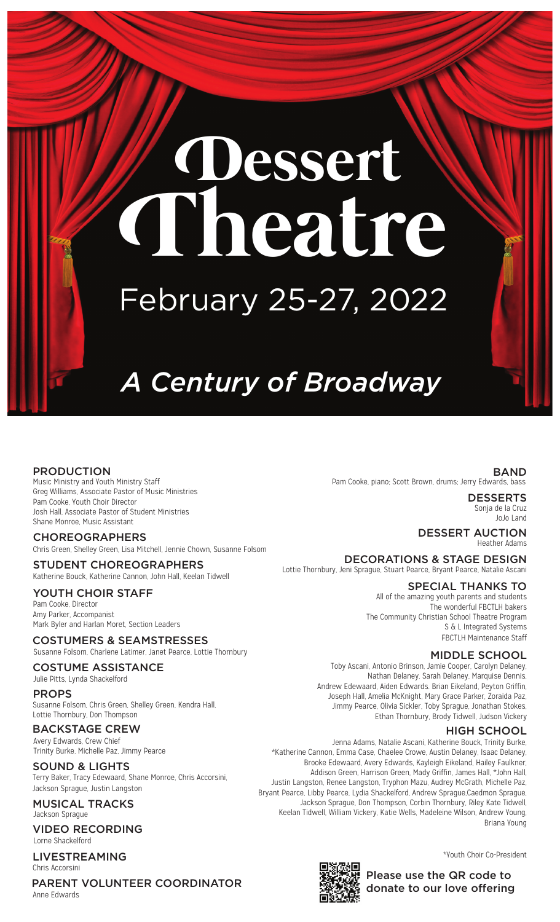# **Dessert Theatre** February 25-27, 2022

# *A Century of Broadway*

#### PRODUCTION

Music Ministry and Youth Ministry Staff Greg Williams, Associate Pastor of Music Ministries Pam Cooke, Youth Choir Director Josh Hall, Associate Pastor of Student Ministries Shane Monroe, Music Assistant

Chris Green, Shelley Green, Lisa Mitchell, Jennie Chown, Susanne Folsom CHOREOGRAPHERS

Katherine Bouck, Katherine Cannon, John Hall, Keelan Tidwell STUDENT CHOREOGRAPHERS

#### YOUTH CHOIR STAFF

Pam Cooke, Director Amy Parker, Accompanist Mark Byler and Harlan Moret, Section Leaders

#### COSTUMERS & SEAMSTRESSES

Susanne Folsom, Charlene Latimer, Janet Pearce, Lottie Thornbury

#### COSTUME ASSISTANCE

Julie Pitts, Lynda Shackelford

#### PROPS

Susanne Folsom, Chris Green, Shelley Green, Kendra Hall, Lottie Thornbury, Don Thompson

### BACKSTAGE CREW

Avery Edwards, Crew Chief Trinity Burke, Michelle Paz, Jimmy Pearce

# SOUND & LIGHTS

Terry Baker, Tracy Edewaard, Shane Monroe, Chris Accorsini, Jackson Sprague, Justin Langston

#### MUSICAL TRACKS Jackson Sprague

#### VIDEO RECORDING Lorne Shackelford

LIVESTREAMING Chris Accorsini

PARENT VOLUNTEER COORDINATOR Anne Edwards

BAND Pam Cooke, piano; Scott Brown, drums; Jerry Edwards, bass

> **DESSERTS** Sonja de la Cruz JoJo Land

DESSERT AUCTION Heather Adams

DECORATIONS & STAGE DESIGN Lottie Thornbury, Jeni Sprague, Stuart Pearce, Bryant Pearce, Natalie Ascani

### SPECIAL THANKS TO

All of the amazing youth parents and students The wonderful FBCTLH bakers The Community Christian School Theatre Program S & L Integrated Systems FBCTLH Maintenance Staff

#### MIDDLE SCHOOL

Toby Ascani, Antonio Brinson, Jamie Cooper, Carolyn Delaney, Nathan Delaney, Sarah Delaney, Marquise Dennis, Andrew Edewaard, Aiden Edwards. Brian Eikeland, Peyton Griffin, Joseph Hall, Amelia McKnight, Mary Grace Parker, Zoraida Paz, Jimmy Pearce, Olivia Sickler, Toby Sprague, Jonathan Stokes, Ethan Thornbury, Brody Tidwell, Judson Vickery

#### HIGH SCHOOL

Jenna Adams, Natalie Ascani, Katherine Bouck, Trinity Burke, \*Katherine Cannon, Emma Case, Chaelee Crowe, Austin Delaney, Isaac Delaney, Brooke Edewaard, Avery Edwards, Kayleigh Eikeland, Hailey Faulkner, Addison Green, Harrison Green, Mady Griffin, James Hall, \*John Hall, Justin Langston, Renee Langston, Tryphon Mazu, Audrey McGrath, Michelle Paz, Bryant Pearce, Libby Pearce, Lydia Shackelford, Andrew Sprague,Caedmon Sprague, Jackson Sprague, Don Thompson, Corbin Thornbury, Riley Kate Tidwell, Keelan Tidwell, William Vickery, Katie Wells, Madeleine Wilson, Andrew Young, Briana Young

\*Youth Choir Co-President